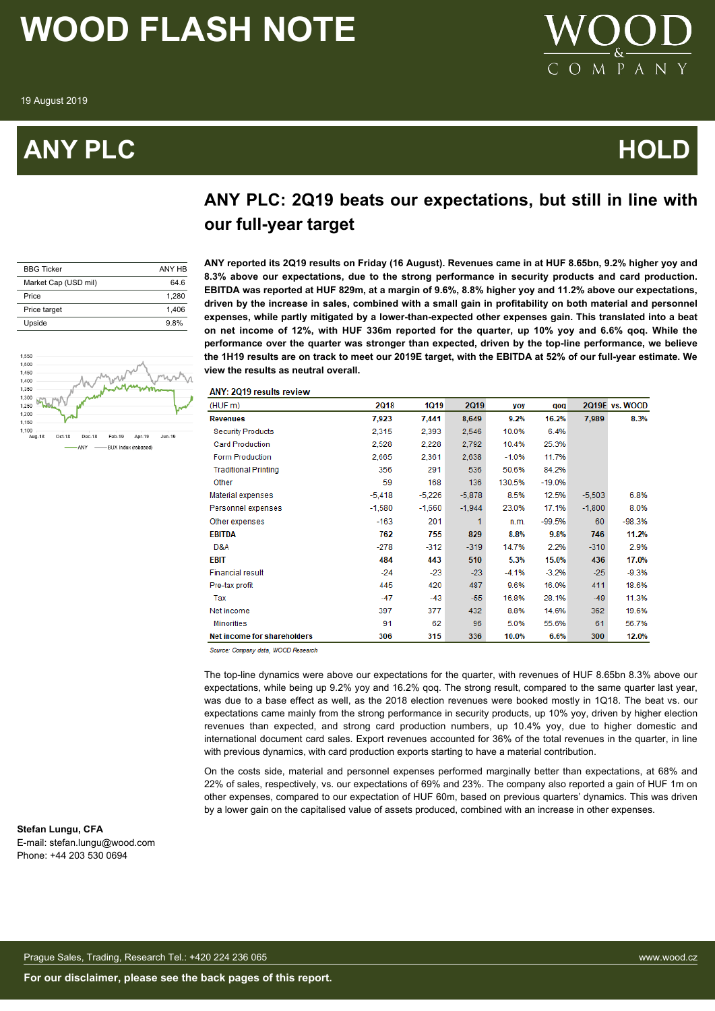### **ANY PLC HOLD**



### **ANY PLC: 2Q19 beats our expectations, but still in line with our full-year target**

| <b>BBG Ticker</b>    | ANY HB |
|----------------------|--------|
| Market Cap (USD mil) | 64 6   |
| Price                | 1.280  |
| Price target         | 1.406  |
| Upside               | 9.8%   |



**ANY reported its 2Q19 results on Friday (16 August). Revenues came in at HUF 8.65bn, 9.2% higher yoy and 8.3% above our expectations, due to the strong performance in security products and card production. EBITDA was reported at HUF 829m, at a margin of 9.6%, 8.8% higher yoy and 11.2% above our expectations, driven by the increase in sales, combined with a small gain in profitability on both material and personnel expenses, while partly mitigated by a lower-than-expected other expenses gain. This translated into a beat on net income of 12%, with HUF 336m reported for the quarter, up 10% yoy and 6.6% qoq. While the performance over the quarter was stronger than expected, driven by the top-line performance, we believe the 1H19 results are on track to meet our 2019E target, with the EBITDA at 52% of our full-year estimate. We view the results as neutral overall.**

|  | <b>ANY: 2019 results review</b> |
|--|---------------------------------|

| (HUF m)                     | <b>2Q18</b> | 1019     | <b>2Q19</b> | yoy     | qoq      |          | 2Q19E vs. WOOD |
|-----------------------------|-------------|----------|-------------|---------|----------|----------|----------------|
| <b>Revenues</b>             | 7,923       | 7.441    | 8,649       | 9.2%    | 16.2%    | 7,989    | 8.3%           |
| <b>Security Products</b>    | 2,315       | 2.393    | 2,546       | 10.0%   | 6.4%     |          |                |
| <b>Card Production</b>      | 2,528       | 2,228    | 2,792       | 10.4%   | 25.3%    |          |                |
| Form Production             | 2.665       | 2.361    | 2.638       | $-1.0%$ | 11.7%    |          |                |
| <b>Traditional Printing</b> | 356         | 291      | 536         | 50.6%   | 84.2%    |          |                |
| Other                       | 59          | 168      | 136         | 130.5%  | $-19.0%$ |          |                |
| Material expenses           | $-5.418$    | $-5,226$ | $-5,878$    | 8.5%    | 12.5%    | $-5,503$ | 6.8%           |
| Personnel expenses          | $-1,580$    | $-1.660$ | $-1,944$    | 23.0%   | 17.1%    | $-1,800$ | 8.0%           |
| Other expenses              | $-163$      | 201      | 1           | n.m.    | $-99.5%$ | 60       | $-98.3%$       |
| <b>EBITDA</b>               | 762         | 755      | 829         | 8.8%    | 9.8%     | 746      | 11.2%          |
| D&A                         | $-278$      | $-312$   | $-319$      | 14.7%   | 2.2%     | $-310$   | 2.9%           |
| EBIT                        | 484         | 443      | 510         | 5.3%    | 15.0%    | 436      | 17.0%          |
| <b>Financial result</b>     | $-24$       | $-23$    | $-23$       | $-4.1%$ | $-3.2%$  | $-25$    | $-9.3%$        |
| Pre-tax profit              | 445         | 420      | 487         | 9.6%    | 16.0%    | 411      | 18.6%          |
| Tax                         | $-47$       | $-43$    | $-55$       | 16.8%   | 28.1%    | $-49$    | 11.3%          |
| Net income                  | 397         | 377      | 432         | 8.8%    | 14.6%    | 362      | 19.6%          |
| <b>Minorities</b>           | 91          | 62       | 96          | 5.0%    | 55.6%    | 61       | 56.7%          |
| Net income for shareholders | 306         | 315      | 336         | 10.0%   | 6.6%     | 300      | 12.0%          |

Source: Company data, WOOD Research

The top-line dynamics were above our expectations for the quarter, with revenues of HUF 8.65bn 8.3% above our expectations, while being up 9.2% yoy and 16.2% qoq. The strong result, compared to the same quarter last year, was due to a base effect as well, as the 2018 election revenues were booked mostly in 1Q18. The beat vs. our expectations came mainly from the strong performance in security products, up 10% yoy, driven by higher election revenues than expected, and strong card production numbers, up 10.4% yoy, due to higher domestic and international document card sales. Export revenues accounted for 36% of the total revenues in the quarter, in line with previous dynamics, with card production exports starting to have a material contribution.

On the costs side, material and personnel expenses performed marginally better than expectations, at 68% and 22% of sales, respectively, vs. our expectations of 69% and 23%. The company also reported a gain of HUF 1m on other expenses, compared to our expectation of HUF 60m, based on previous quarters' dynamics. This was driven by a lower gain on the capitalised value of assets produced, combined with an increase in other expenses.

#### **Stefan Lungu, CFA**

E-mail: stefan.lungu@wood.com Phone: +44 203 530 0694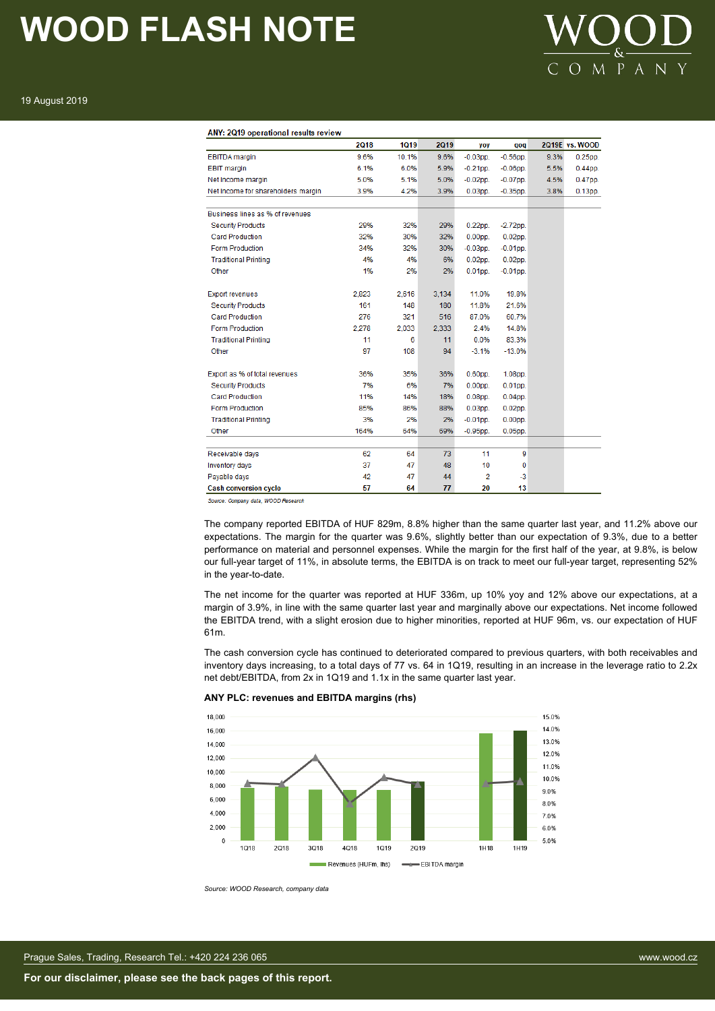

19 August 2019

#### ANY: 2Q19 operational results review

|                                    | <b>2Q18</b> | <b>1Q19</b> | <b>2Q19</b> | yoy            | qoq         |      | 2Q19E vs. WOOD |
|------------------------------------|-------------|-------------|-------------|----------------|-------------|------|----------------|
| <b>EBITDA</b> margin               | 9.6%        | 10.1%       | 9.6%        | $-0.03$ pp.    | $-0.56$ pp. | 9.3% | $0.25$ pp.     |
| <b>EBIT</b> margin                 | 6.1%        | 6.0%        | 5.9%        | $-0.21$ pp.    | $-0.06$ pp. | 5.5% | $0.44$ pp.     |
| Net Income margin                  | 5.0%        | 5.1%        | 5.0%        | $-0.02$ pp.    | $-0.07$ pp. | 4.5% | $0.47$ pp.     |
| Net Income for shareholders margin | 3.9%        | 4.2%        | 3.9%        | $0.03$ pp.     | $-0.35$ pp. | 3.8% | $0.13$ pp.     |
|                                    |             |             |             |                |             |      |                |
| Business lines as % of revenues    |             |             |             |                |             |      |                |
| <b>Security Products</b>           | 29%         | 32%         | 29%         | $0.22$ pp.     | $-2.72$ pp. |      |                |
| <b>Card Production</b>             | 32%         | 30%         | 32%         | $0.00pp$ .     | $0.02$ pp.  |      |                |
| <b>Form Production</b>             | 34%         | 32%         | 30%         | $-0.03$ pp.    | $-0.01$ pp. |      |                |
| <b>Traditional Printing</b>        | 4%          | 4%          | 6%          | $0.02$ pp.     | $0.02$ pp.  |      |                |
| Other                              | 1%          | 2%          | 2%          | $0.01pp$ .     | $-0.01$ pp. |      |                |
|                                    |             |             |             |                |             |      |                |
| <b>Export revenues</b>             | 2,823       | 2,616       | 3,134       | 11.0%          | 19.8%       |      |                |
| <b>Security Products</b>           | 161         | 148         | 180         | 11.8%          | 21.6%       |      |                |
| <b>Card Production</b>             | 276         | 321         | 516         | 87.0%          | 60.7%       |      |                |
| <b>Form Production</b>             | 2,278       | 2,033       | 2,333       | 2.4%           | 14.8%       |      |                |
| <b>Traditional Printing</b>        | 11          | 6           | 11          | 0.0%           | 83.3%       |      |                |
| Other                              | 97          | 108         | 94          | $-3.1%$        | $-13.0%$    |      |                |
|                                    |             |             |             |                |             |      |                |
| Export as % of total revenues      | 36%         | 35%         | 36%         | $0.60$ pp.     | $1.08pp$ .  |      |                |
| <b>Security Products</b>           | 7%          | 6%          | 7%          | $0.00$ pp.     | $0.01$ pp.  |      |                |
| Card Production                    | 11%         | 14%         | 18%         | $0.08$ pp.     | $0.04$ pp.  |      |                |
| Form Production                    | 85%         | 86%         | 88%         | $0.03pp$ .     | $0.02$ pp.  |      |                |
| <b>Traditional Printing</b>        | 3%          | 2%          | 2%          | $-0.01$ pp.    | $0.00$ pp.  |      |                |
| Other                              | 164%        | 64%         | 69%         | $-0.95$ pp.    | $0.05$ pp.  |      |                |
|                                    |             |             |             |                |             |      |                |
| Receivable days                    | 62          | 64          | 73          | 11             | 9           |      |                |
| Inventory days                     | 37          | 47          | 48          | 10             | 0           |      |                |
| Payable days                       | 42          | 47          | 44          | $\overline{2}$ | -3          |      |                |
| <b>Cash conversion cycle</b>       | 57          | 64          | 77          | 20             | 13          |      |                |

Source: Company data, WOOD Research

The company reported EBITDA of HUF 829m, 8.8% higher than the same quarter last year, and 11.2% above our expectations. The margin for the quarter was 9.6%, slightly better than our expectation of 9.3%, due to a better performance on material and personnel expenses. While the margin for the first half of the year, at 9.8%, is below our full-year target of 11%, in absolute terms, the EBITDA is on track to meet our full-year target, representing 52% in the year-to-date.

The net income for the quarter was reported at HUF 336m, up 10% yoy and 12% above our expectations, at a margin of 3.9%, in line with the same quarter last year and marginally above our expectations. Net income followed the EBITDA trend, with a slight erosion due to higher minorities, reported at HUF 96m, vs. our expectation of HUF 61m.

The cash conversion cycle has continued to deteriorated compared to previous quarters, with both receivables and inventory days increasing, to a total days of 77 vs. 64 in 1Q19, resulting in an increase in the leverage ratio to 2.2x net debt/EBITDA, from 2x in 1Q19 and 1.1x in the same quarter last year.





*Source: WOOD Research, company data*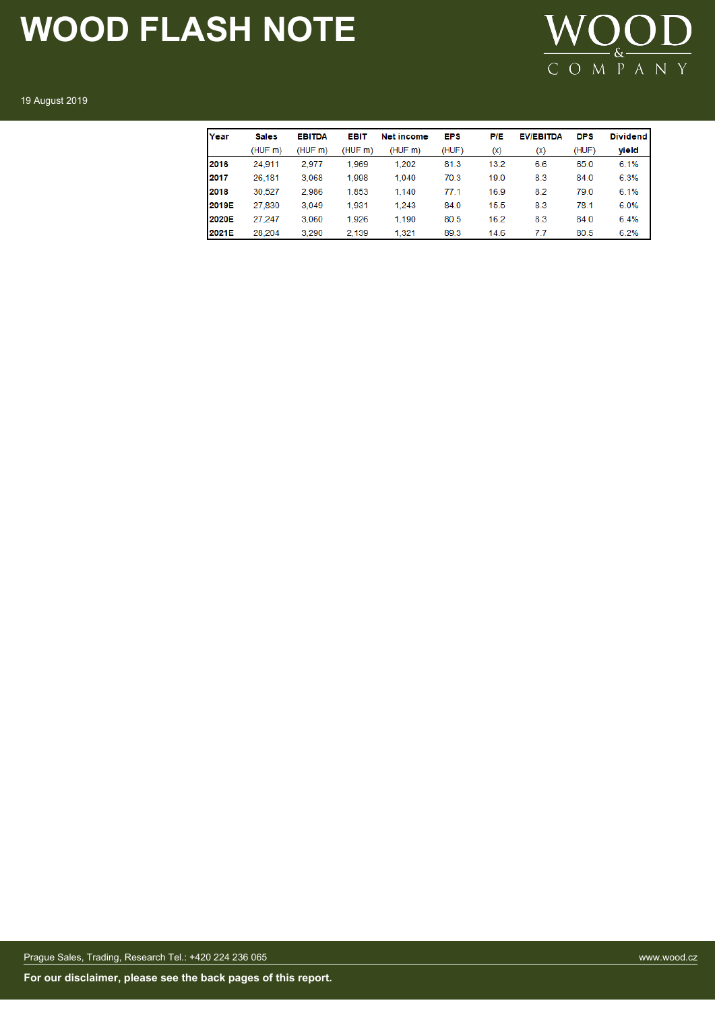

19 August 2019

| Year  | <b>Sales</b> | <b>EBITDA</b> | <b>EBIT</b> | Net income | <b>EPS</b> | P/E  | <b>EV/EBITDA</b> | <b>DPS</b> | <b>Dividend</b> |
|-------|--------------|---------------|-------------|------------|------------|------|------------------|------------|-----------------|
|       | (HUF m)      | (HUF m)       | (HUF m)     | (HUFm)     | (HUF)      | (x)  | (x)              | (HUF)      | yield           |
| 2016  | 24,911       | 2.977         | 1.969       | 1.202      | 81.3       | 13.2 | 6.6              | 65.0       | 6.1%            |
| 2017  | 26,181       | 3,068         | 1,998       | 1,040      | 70.3       | 19.0 | 8.3              | 84.0       | 6.3%            |
| 2018  | 30.527       | 2.986         | 1,853       | 1.140      | 77.1       | 16.9 | 8.2              | 79.0       | 6.1%            |
| 2019E | 27,830       | 3,049         | 1,931       | 1.243      | 84.0       | 15.5 | 8.3              | 78.1       | 6.0%            |
| 2020E | 27.247       | 3.060         | 1,926       | 1.190      | 80.5       | 16.2 | 8.3              | 84.0       | 6.4%            |
| 2021E | 28,204       | 3.290         | 2.139       | 1.321      | 89.3       | 14.6 | 7.7              | 80.5       | 6.2%            |

Prague Sales, Trading, Research Tel.: +420 224 236 065 www.wood.cz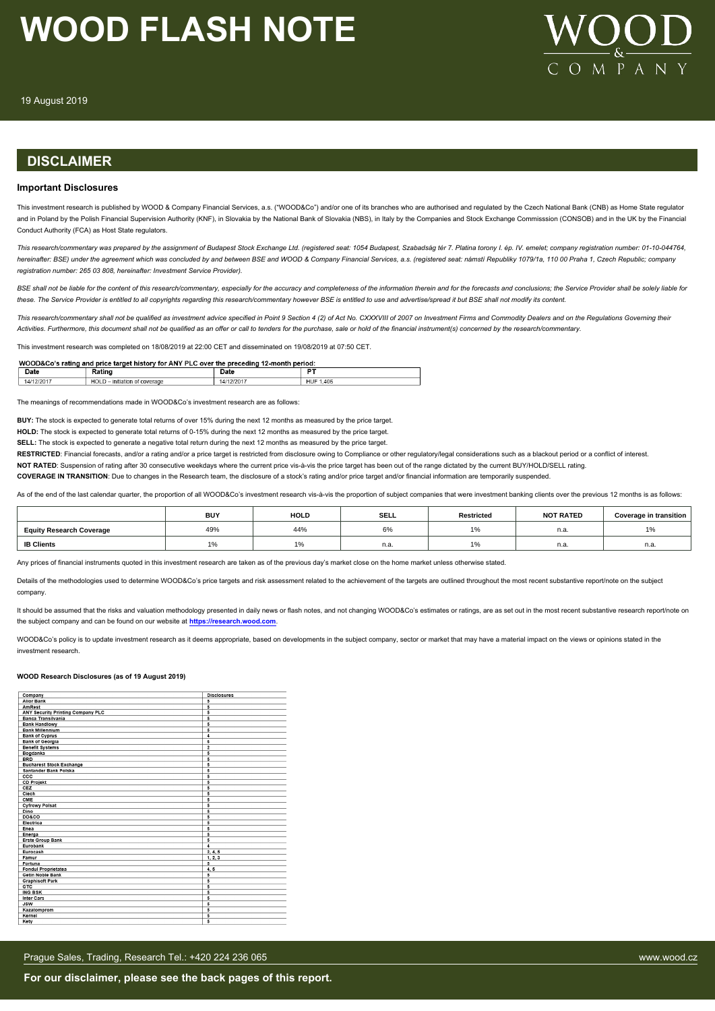

#### **DISCLAIMER**

#### **Important Disclosures**

This investment research is published by WOOD & Company Financial Services, a.s. ("WOOD&Co") and/or one of its branches who are authorised and regulated by the Czech National Bank (CNB) as Home State regulator and in Poland by the Polish Financial Supervision Authority (KNF), in Slovakia by the National Bank of Slovakia (NBS), in Italy by the Companies and Stock Exchange Commisssion (CONSOB) and in the UK by the Financial Conduct Authority (FCA) as Host State regulators.

*This research/commentary was prepared by the assignment of Budapest Stock Exchange Ltd. (registered seat: 1054 Budapest, Szabadság tér 7. Platina torony I. ép. IV. emelet; company registration number: 01-10-044764, hereinafter: BSE) under the agreement which was concluded by and between BSE and WOOD & Company Financial Services, a.s. (registered seat: námstí Republiky 1079/1a, 110 00 Praha 1, Czech Republic; company registration number: 265 03 808, hereinafter: Investment Service Provider).*

BSE shall not be liable for the content of this research/commentary, especially for the accuracy and completeness of the information therein and for the forecasts and conclusions: the Service Provider shall be solely liabl *these. The Service Provider is entitled to all copyrights regarding this research/commentary however BSE is entitled to use and advertise/spread it but BSE shall not modify its content.*

*This research/commentary shall not be qualified as investment advice specified in Point 9 Section 4 (2) of Act No. CXXXVIII of 2007 on Investment Firms and Commodity Dealers and on the Regulations Governing their Activities. Furthermore, this document shall not be qualified as an offer or call to tenders for the purchase, sale or hold of the financial instrument(s) concerned by the research/commentary.*

This investment research was completed on 18/08/2019 at 22:00 CET and disseminated on 19/08/2019 at 07:50 CET.

| WOOD&Co's rating and price target history for ANY PLC over the preceding 12-month period: |                               |            |           |  |  |  |
|-------------------------------------------------------------------------------------------|-------------------------------|------------|-----------|--|--|--|
| Date                                                                                      | Rating                        | Date       |           |  |  |  |
| 14/12/2017                                                                                | HOLD - initiation of coverage | 14/12/2017 | HUF 1,406 |  |  |  |

The meanings of recommendations made in WOOD&Co's investment research are as follows:

**BUY:** The stock is expected to generate total returns of over 15% during the next 12 months as measured by the price target.

**HOLD:** The stock is expected to generate total returns of 0-15% during the next 12 months as measured by the price target.

**SELL:** The stock is expected to generate a negative total return during the next 12 months as measured by the price target.

RESTRICTED: Financial forecasts, and/or a rating and/or a price target is restricted from disclosure owing to Compliance or other regulatory/legal considerations such as a blackout period or a conflict of interest.

**NOT RATED**: Suspension of rating after 30 consecutive weekdays where the current price vis-à-vis the price target has been out of the range dictated by the current BUY/HOLD/SELL rating.

**COVERAGE IN TRANSITION:** Due to changes in the Research team, the disclosure of a stock's rating and/or price target and/or financial information are temporarily suspended.

As of the end of the last calendar quarter, the proportion of all WOOD&Co's investment research vis-à-vis the proportion of subject companies that were investment banking clients over the previous 12 months is as follows:

|                                 | <b>BUY</b> | <b>HOLD</b>   | <b>SELL</b> | Restricted | <b>NOT RATED</b> | Coverage in transition |
|---------------------------------|------------|---------------|-------------|------------|------------------|------------------------|
| <b>Equity Research Coverage</b> | 49%        | 44%           | co.<br>b%   |            | n.a              | 10/<br>1/0             |
| <b>IB Clients</b>               | , 70       | $\frac{1}{2}$ | n.a.        | $\sqrt{2}$ | n.a.             | n.a.                   |

Any prices of financial instruments quoted in this investment research are taken as of the previous day's market close on the home market unless otherwise stated.

Details of the methodologies used to determine WOOD&Co's price targets and risk assessment related to the achievement of the targets are outlined throughout the most recent substantive report/note on the subject company.

It should be assumed that the risks and valuation methodology presented in daily news or flash notes, and not changing WOOD&Co's estimates or ratings, are as set out in the most recent substantive research report/note on the subject company and can be found on our website at **[https://research.wood.com](https://research.wood.com/)**.

WOOD&Co's policy is to update investment research as it deems appropriate, based on developments in the subject company, sector or market that may have a material impact on the views or opinions stated in the investment research.

#### **WOOD Research Disclosures (as of 19 August 2019)**

|                                   | <b>Disclosures</b>  |
|-----------------------------------|---------------------|
| Company<br><b>Alior Bank</b>      |                     |
| AmRest                            | 5<br>$\overline{5}$ |
| ANY Security Printing Company PLC | $\overline{5}$      |
| Banca Transilvania                | 5                   |
| <b>Bank Handlowy</b>              | 5                   |
|                                   |                     |
| <b>Bank Millennium</b>            | 5                   |
| <b>Bank of Cyprus</b>             | 4                   |
| <b>Bank of Georgia</b>            | 6                   |
| <b>Benefit Systems</b>            | $\overline{2}$      |
| Bogdanka                          | 5                   |
| <b>BRD</b>                        | 5                   |
| <b>Bucharest Stock Exchange</b>   | $\overline{5}$      |
| Santander Bank Polska             | 5                   |
| ccc                               | 5                   |
| <b>CD Projekt</b>                 | 5                   |
| CEZ                               | 5                   |
| Clech                             | 5                   |
| CME                               | 5                   |
| <b>Cyfrowy Polsat</b>             | 5                   |
| Dino                              | 5                   |
| <b>DO&amp;CO</b>                  | 5                   |
| Electrica                         | 5                   |
| Enea                              | 5                   |
| Energa                            | 5                   |
| <b>Erste Group Bank</b>           | 5                   |
| Eurobank                          | $\overline{a}$      |
| Eurocash                          | 2, 4, 5             |
| Famur                             | 1, 2, 3             |
| Fortuna                           | 5                   |
| <b>Fondul Proprietatea</b>        | 4, 5                |
| <b>Getin Noble Bank</b>           | $\overline{5}$      |
| <b>Graphisoft Park</b>            | 5                   |
| GTC                               | 5                   |
| <b>ING BSK</b>                    | 5                   |
| <b>Inter Cars</b>                 | 5                   |
| <b>JSW</b>                        | 5                   |
| Kazatomprom                       | 5                   |
| Kernel                            | 5                   |
| Kety                              | 5                   |
|                                   |                     |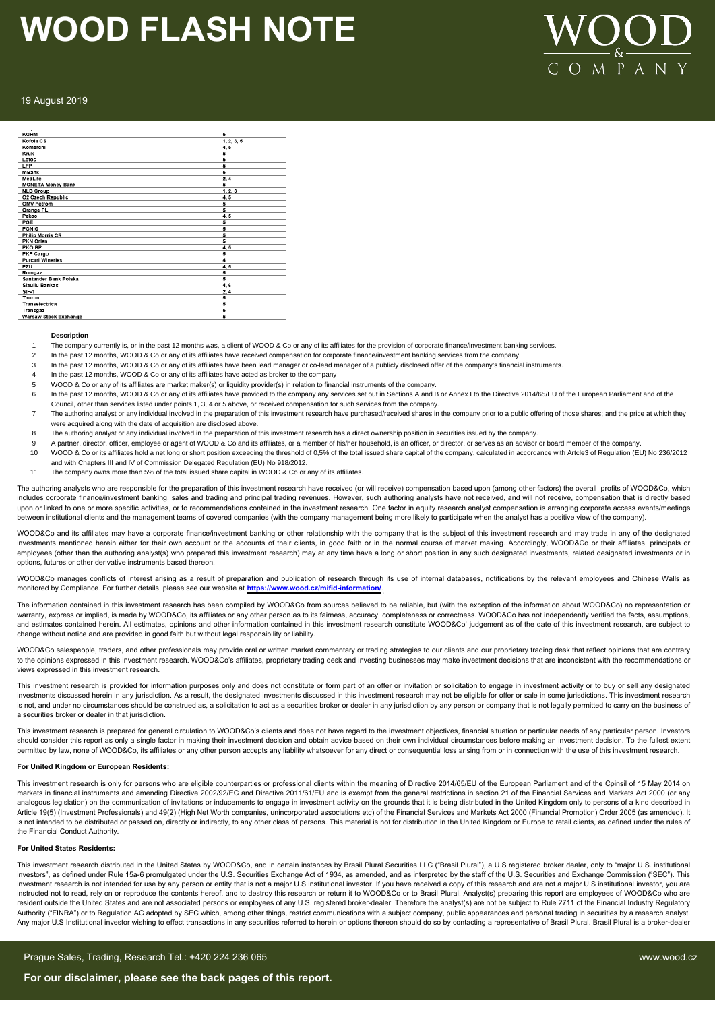

#### 19 August 2019

| <b>KGHM</b>              | 5          |
|--------------------------|------------|
| Kofola CS                | 1, 2, 3, 5 |
| Komercni                 | 4,5        |
| Kruk                     | 5          |
| Lotos                    | 5          |
| LPP                      | 5          |
| mBank                    | 5          |
| MedLife                  | 2, 4       |
| <b>MONETA Money Bank</b> | 5          |
| <b>NLB Group</b>         | 1, 2, 3    |
| O2 Czech Republic        | 4, 5       |
| <b>OMV Petrom</b>        | 5          |
| Orange PL                | 5          |
| Pekao                    | 4,5        |
| PGE                      | 5          |
| <b>PGNIG</b>             | 5          |
| <b>Philip Morris CR</b>  | 5          |
| PKN Orlen                | 5          |
| PKO BP                   | 4, 5       |
| PKP Cargo                | 5          |
| <b>Purcari Wineries</b>  | 4          |
| PZU                      | 4.5        |
| Romgaz                   | 5          |
| Santander Bank Polska    | 5          |
| <b>Siauliu Bankas</b>    | 4,6        |
| $SIF-1$                  | 2, 4       |
| Tauron                   | 5          |
| <b>Transelectrica</b>    | 5          |
| Transgaz                 | 5          |
| Warsaw Stock Exchange    | 5          |

#### **Description**

- 1 The company currently is, or in the past 12 months was, a client of WOOD & Co or any of its affiliates for the provision of corporate finance/investment banking services.
- 2 In the past 12 months, WOOD & Co or any of its affiliates have received compensation for corporate finance/investment banking services from the company
- 3 In the past 12 months, WOOD & Co or any of its affiliates have been lead manager or co-lead manager of a publicly disclosed offer of the company's financial instruments.
- In the past 12 months, WOOD & Co or any of its affiliates have acted as broker to the company
- WOOD & Co or any of its affiliates are market maker(s) or liquidity provider(s) in relation to financial instruments of the company.
- 6 In the past 12 months, WOOD & Co or any of its affiliates have provided to the company any services set out in Sections A and B or Annex I to the Directive 2014/65/EU of the European Parliament and of the Council, other than services listed under points 1, 3, 4 or 5 above, or received compensation for such services from the company.
- 7 The authoring analyst or any individual involved in the preparation of this investment research have purchased/received shares in the company prior to a public offering of those shares; and the price at which they were acquired along with the date of acquisition are disclosed above.
- 8 The authoring analyst or any individual involved in the preparation of this investment research has a direct ownership position in securities issued by the company.
- 9 A partner, director, officer, employee or agent of WOOD & Co and its affiliates, or a member of his/her household, is an officer, or director, or serves as an advisor or board member of the company.
- 10 WOOD & Co or its affiliates hold a net long or short position exceeding the threshold of 0,5% of the total issued share capital of the company, calculated in accordance with Artcle3 of Regulation (EU) No 236/2012 and with Chapters III and IV of Commission Delegated Regulation (EU) No 918/2012.
- 11 The company owns more than 5% of the total issued share capital in WOOD & Co or any of its affiliates.
- The authoring analysts who are responsible for the preparation of this investment research have received (or will receive) compensation based upon (among other factors) the overall profits of WOOD&Co, which includes corporate finance/investment banking, sales and trading and principal trading revenues. However, such authoring analysts have not received, and will not receive, compensation that is directly based

upon or linked to one or more specific activities, or to recommendations contained in the investment research. One factor in equity research analyst compensation is arranging corporate access events/meetings between institutional clients and the management teams of covered companies (with the company management being more likely to participate when the analyst has a positive view of the company)

WOOD&Co and its affiliates may have a corporate finance/investment banking or other relationship with the company that is the subject of this investment research and may trade in any of the designated<br>investments mentioned employees (other than the authoring analyst(s) who prepared this investment research) may at any time have a long or short position in any such designated investments, related designated investments or in options, futures or other derivative instruments based thereon.

WOOD&Co manages conflicts of interest arising as a result of preparation and publication of research through its use of internal databases, notifications by the relevant employees and Chinese Walls as monitored by Compliance. For further details, please see our website at **https://www.wood.cz/mifid-information/**.

The information contained in this investment research has been compiled by WOOD&Co from sources believed to be reliable, but (with the exception of the information about WOOD&Co) no representation or warranty, express or implied, is made by WOOD&Co, its affiliates or any other person as to its fairness, accuracy, completeness or correctness. WOOD&Co has not independently verified the facts, assumptions, and estimates contained herein. All estimates, opinions and other information contained in this investment research constitute WOOD&Co' judgement as of the date of this investment research, are subject to change without notice and are provided in good faith but without legal responsibility or liability.

WOOD&Co salespeople, traders, and other professionals may provide oral or written market commentary or trading strategies to our clients and our proprietary trading desk that reflect opinions that are contrary to the opinions expressed in this investment research. WOOD&Co's affiliates, proprietary trading desk and investing businesses may make investment decisions that are inconsistent with the recommendations or views expressed in this investment research.

This investment research is provided for information purposes only and does not constitute or form part of an offer or invitation or solicitation to engage in investment activity or to buy or sell any designated investments discussed herein in any jurisdiction. As a result, the designated investments discussed in this investment research may not be eligible for offer or sale in some jurisdictions. This investment research is not, and under no circumstances should be construed as, a solicitation to act as a securities broker or dealer in any jurisdiction by any person or company that is not legally permitted to carry on the business of a securities broker or dealer in that jurisdiction.

This investment research is prepared for general circulation to WOOD&Co's clients and does not have regard to the investment objectives, financial situation or particular needs of any particular person. Investors should consider this report as only a single factor in making their investment decision and obtain advice based on their own individual circumstances before making an investment decision. To the fullest extent permitted by law, none of WOOD&Co, its affiliates or any other person accepts any liability whatsoever for any direct or consequential loss arising from or in connection with the use of this investment research.

#### **For United Kingdom or European Residents:**

This investment research is only for persons who are eligible counterparties or professional clients within the meaning of Directive 2014/65/EU of the European Parliament and of the Cpinsil of 15 May 2014 on markets in financial instruments and amending Directive 2002/92/EC and Directive 2011/61/EU and is exempt from the general restrictions in section 21 of the Financial Services and Markets Act 2000 (or any analogous legislation) on the communication of invitations or inducements to engage in investment activity on the grounds that it is being distributed in the United Kingdom only to persons of a kind described in Article 19(5) (Investment Professionals) and 49(2) (High Net Worth companies, unincorporated associations etc) of the Financial Services and Markets Act 2000 (Financial Promotion) Order 2005 (as amended). It is not intended to be distributed or passed on, directly or indirectly, to any other class of persons. This material is not for distribution in the United Kingdom or Europe to retail clients, as defined under the rules of the Financial Conduct Authority.

#### **For United States Residents:**

This investment research distributed in the United States by WOOD&Co, and in certain instances by Brasil Plural Securities LLC ("Brasil Plural"), a U.S registered broker dealer, only to "major U.S. institutional investors", as defined under Rule 15a-6 promulgated under the U.S. Securities Exchange Act of 1934, as amended, and as interpreted by the staff of the U.S. Securities and Exchange Commission ("SEC"). This investment research is not intended for use by any person or entity that is not a major U.S institutional investor. If you have received a copy of this research and are not a major U.S institutional investor, you are instructed not to read, rely on or reproduce the contents hereof, and to destroy this research or return it to WOOD&Co or to Brasil Plural. Analyst(s) preparing this report are employees of WOOD&Co who are resident outside the United States and are not associated persons or employees of any U.S. registered broker-dealer. Therefore the analyst(s) are not be subject to Rule 2711 of the Financial Industry Regulatory Authority ("FINRA") or to Regulation AC adopted by SEC which, among other things, restrict communications with a subject company, public appearances and personal trading in securities by a research analyst. Any major U.S Institutional investor wishing to effect transactions in any securities referred to herein or options thereon should do so by contacting a representative of Brasil Plural. Brasil Plural is a broker-dealer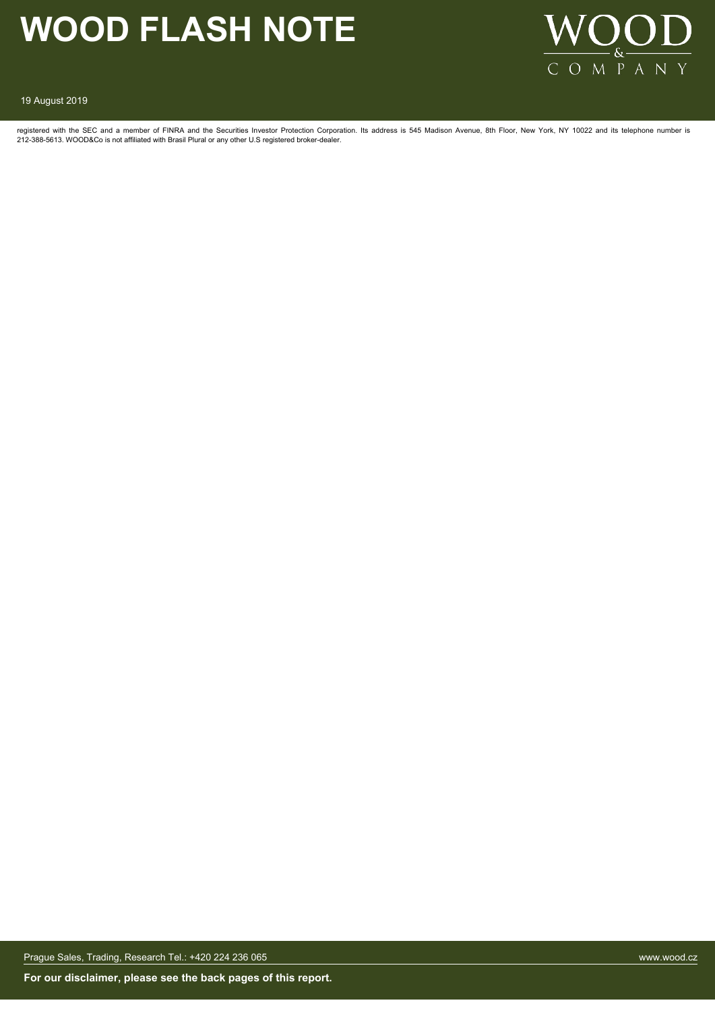

19 August 2019

registered with the SEC and a member of FINRA and the Securities Investor Protection Corporation. Its address is 545 Madison Avenue, 8th Floor, New York, NY 10022 and its telephone number is 212-388-5613. WOOD&Co is not affiliated with Brasil Plural or any other U.S registered broker-dealer.